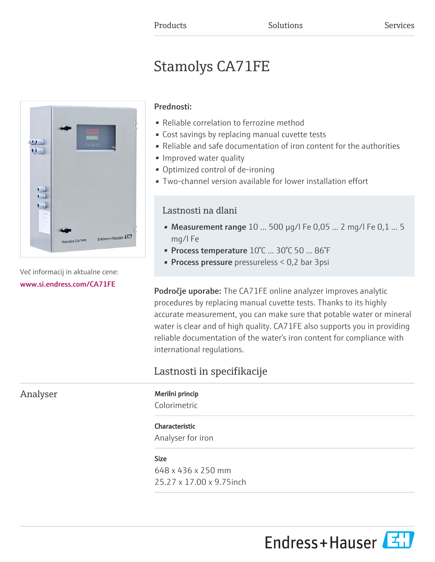# Stamolys CA71FE



Več informacij in aktualne cene: [www.si.endress.com/CA71FE](https://www.si.endress.com/CA71FE)

### Prednosti:

- Reliable correlation to ferrozine method
- Cost savings by replacing manual cuvette tests
- Reliable and safe documentation of iron content for the authorities
- Improved water quality
- Optimized control of de-ironing
- Two-channel version available for lower installation effort

# Lastnosti na dlani

- Measurement range  $10...500$   $\mu$ g/l Fe 0,05 ... 2 mg/l Fe 0,1 ... 5 mg/l Fe
- Process temperature 10°C ... 30°C 50 ... 86°F
- **Process pressure** pressureless  $< 0.2$  bar 3psi

Področje uporabe: The CA71FE online analyzer improves analytic procedures by replacing manual cuvette tests. Thanks to its highly accurate measurement, you can make sure that potable water or mineral water is clear and of high quality. CA71FE also supports you in providing reliable documentation of the water's iron content for compliance with international regulations.

# Lastnosti in specifikacije

Analyser Merilni princip

Colorimetric

## Characteristic

Analyser for iron

#### Size

648 x 436 x 250 mm 25.27 x 17.00 x 9.75inch

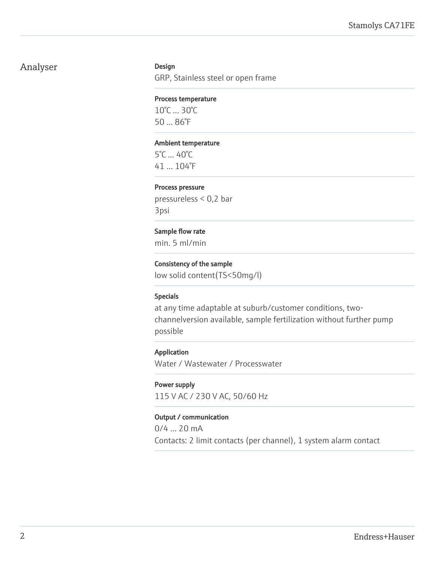# Analyser Design

GRP, Stainless steel or open frame

#### Process temperature

10°C ... 30°C 50 ... 86°F

#### Ambient temperature

5°C ... 40°C 41 ... 104°F

#### Process pressure

pressureless < 0,2 bar 3psi

#### Sample flow rate

min. 5 ml/min

#### Consistency of the sample

low solid content(TS<50mg/l)

#### Specials

at any time adaptable at suburb/customer conditions, twochannelversion available, sample fertilization without further pump possible

#### Application

Water / Wastewater / Processwater

#### Power supply

115 V AC / 230 V AC, 50/60 Hz

#### Output / communication

0/4 ... 20 mA Contacts: 2 limit contacts (per channel), 1 system alarm contact